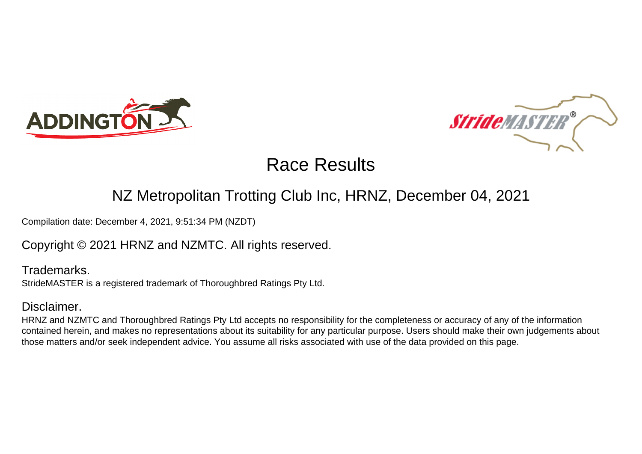



### NZ Metropolitan Trotting Club Inc, HRNZ, December 04, 2021

Compilation date: December 4, 2021, 9:51:34 PM (NZDT)

Copyright © 2021 HRNZ and NZMTC. All rights reserved.

Trademarks. StrideMASTER is a registered trademark of Thoroughbred Ratings Pty Ltd.

### Disclaimer.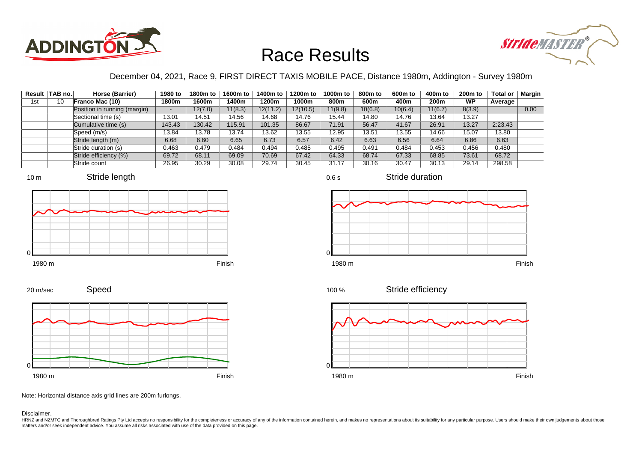



### December 04, 2021, Race 9, FIRST DIRECT TAXIS MOBILE PACE, Distance 1980m, Addington - Survey 1980m

|     | Result   TAB no. | Horse (Barrier)              | 1980 to                  | 1800m to | 1600m to | 1400m to | 1200m to | 1000m to | 800m to | 600 <sub>m</sub> to | 400m to | 200 <sub>m</sub> to | <b>Total or</b> | Margin |
|-----|------------------|------------------------------|--------------------------|----------|----------|----------|----------|----------|---------|---------------------|---------|---------------------|-----------------|--------|
| 1st | 10               | Franco Mac (10)              | 1800m                    | 1600m    | 1400m    | 1200m    | 1000m    | 800m     | 600m    | 400m                | 200m    | WP                  | Average         |        |
|     |                  | Position in running (margin) | $\overline{\phantom{0}}$ | 12(7.0)  | 11(8.3)  | 12(11.2) | 12(10.5) | 11(9.8)  | 10(6.8) | 10(6.4)             | 11(6.7) | 8(3.9)              |                 | 0.00   |
|     |                  | Sectional time (s)           | 13.01                    | 14.51    | 14.56    | 14.68    | 14.76    | 15.44    | 14.80   | 14.76               | 13.64   | 13.27               |                 |        |
|     |                  | Cumulative time (s)          | 143.43                   | 130.42   | 115.91   | 101.35   | 86.67    | 71.91    | 56.47   | 41.67               | 26.91   | 13.27               | 2:23.43         |        |
|     |                  | Speed (m/s)                  | 13.84                    | 13.78    | 13.74    | 13.62    | 13.55    | 12.95    | 13.51   | 13.55               | 14.66   | 15.07               | 13.80           |        |
|     |                  | Stride length (m)            | 6.68                     | 6.60     | 6.65     | 6.73     | 6.57     | 6.42     | 6.63    | 6.56                | 6.64    | 6.86                | 6.63            |        |
|     |                  | Stride duration (s)          | 0.463                    | 0.479    | 0.484    | 0.494    | 0.485    | 0.495    | 0.491   | 0.484               | 0.453   | 0.456               | 0.480           |        |
|     |                  | Stride efficiency (%)        | 69.72                    | 68.11    | 69.09    | 70.69    | 67.42    | 64.33    | 68.74   | 67.33               | 68.85   | 73.61               | 68.72           |        |
|     |                  | Stride count                 | 26.95                    | 30.29    | 30.08    | 29.74    | 30.45    | 31.17    | 30.16   | 30.47               | 30.13   | 29.14               | 298.58          |        |







Stride duration







Speed 20 m/sec



Note: Horizontal distance axis grid lines are 200m furlongs.

#### Disclaimer.

HRNZ and NZMTC and Thoroughbred Ratings Pty Ltd accepts no responsibility for the completeness or accuracy of any of the information contained herein, and makes no representations about its suitability for any particular p matters and/or seek independent advice. You assume all risks associated with use of the data provided on this page.

0.6 s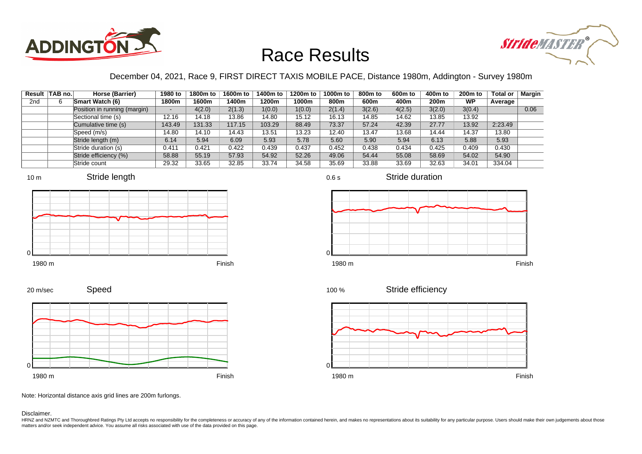



### December 04, 2021, Race 9, FIRST DIRECT TAXIS MOBILE PACE, Distance 1980m, Addington - Survey 1980m

|                 | Result TAB no. | Horse (Barrier)              | 1980 to                  | 1800m to | 1600m to | 1400m to | 1200m to | 1000m to | 800m to | 600 <sub>m</sub> to | 400m to | 200 <sub>m</sub> to | <b>Total or</b> | <b>Margin</b> |
|-----------------|----------------|------------------------------|--------------------------|----------|----------|----------|----------|----------|---------|---------------------|---------|---------------------|-----------------|---------------|
| 2 <sub>nd</sub> |                | <b>Smart Watch (6)</b>       | 1800m                    | 1600m    | 1400m    | 1200m    | 1000m    | 800m     | 600m    | 400m                | 200m    | <b>WP</b>           | Average         |               |
|                 |                | Position in running (margin) | $\overline{\phantom{0}}$ | 4(2.0)   | 2(1.3)   | 1(0.0)   | 1(0.0)   | 2(1.4)   | 3(2.6)  | 4(2.5)              | 3(2.0)  | 3(0.4)              |                 | 0.06          |
|                 |                | Sectional time (s)           | 12.16                    | 14.18    | 13.86    | 14.80    | 15.12    | 16.13    | 14.85   | 14.62               | 13.85   | 13.92               |                 |               |
|                 |                | Cumulative time (s)          | 143.49                   | 131.33   | 117.15   | 103.29   | 88.49    | 73.37    | 57.24   | 42.39               | 27.77   | 13.92               | 2:23.49         |               |
|                 |                | Speed (m/s)                  | 14.80                    | 14.10    | 14.43    | 13.51    | 13.23    | 12.40    | 13.47   | 13.68               | 14.44   | 14.37               | 13.80           |               |
|                 |                | Stride length (m)            | 6.14                     | 5.94     | 6.09     | 5.93     | 5.78     | 5.60     | 5.90    | 5.94                | 6.13    | 5.88                | 5.93            |               |
|                 |                | Stride duration (s)          | 0.411                    | 0.421    | 0.422    | 0.439    | 0.437    | 0.452    | 0.438   | 0.434               | 0.425   | 0.409               | 0.430           |               |
|                 |                | Stride efficiency (%)        | 58.88                    | 55.19    | 57.93    | 54.92    | 52.26    | 49.06    | 54.44   | 55.08               | 58.69   | 54.02               | 54.90           |               |
|                 |                | Stride count                 | 29.32                    | 33.65    | 32.85    | 33.74    | 34.58    | 35.69    | 33.88   | 33.69               | 32.63   | 34.01               | 334.04          |               |







0.6 s

Stride duration





Stride efficiency



Speed 20 m/sec



Note: Horizontal distance axis grid lines are 200m furlongs.

Disclaimer.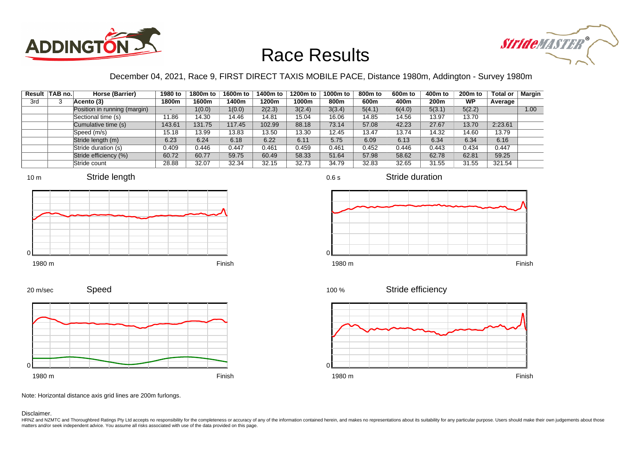



#### December 04, 2021, Race 9, FIRST DIRECT TAXIS MOBILE PACE, Distance 1980m, Addington - Survey 1980m

|     | Result TAB no. | Horse (Barrier)              | 1980 to                  | 1800m to | 1600m to | 1400m to | 1200m to | 1000m to | 800m to | 600 <sub>m</sub> to | 400m to | 200 <sub>m</sub> to | <b>Total or</b> | <b>Margin</b> |
|-----|----------------|------------------------------|--------------------------|----------|----------|----------|----------|----------|---------|---------------------|---------|---------------------|-----------------|---------------|
| 3rd |                | Acento (3)                   | 1800m                    | 1600m    | 1400m    | 1200m    | 1000m    | 800m     | 600m    | 400m                | 200m    | <b>WP</b>           | Average         |               |
|     |                | Position in running (margin) | $\overline{\phantom{a}}$ | 1(0.0)   | 1(0.0)   | 2(2.3)   | 3(2.4)   | 3(3.4)   | 5(4.1)  | 6(4.0)              | 5(3.1)  | 5(2.2)              |                 | 1.00          |
|     |                | Sectional time (s)           | 11.86                    | 14.30    | 14.46    | 14.81    | 15.04    | 16.06    | 14.85   | 14.56               | 13.97   | 13.70               |                 |               |
|     |                | Cumulative time (s)          | 143.61                   | 131.75   | 117.45   | 102.99   | 88.18    | 73.14    | 57.08   | 42.23               | 27.67   | 13.70               | 2:23.61         |               |
|     |                | Speed (m/s)                  | 15.18                    | 13.99    | 13.83    | 13.50    | 13.30    | 12.45    | 13.47   | 13.74               | 14.32   | 14.60               | 13.79           |               |
|     |                | Stride length (m)            | 6.23                     | 6.24     | 6.18     | 6.22     | 6.11     | 5.75     | 6.09    | 6.13                | 6.34    | 6.34                | 6.16            |               |
|     |                | Stride duration (s)          | 0.409                    | 0.446    | 0.447    | 0.461    | 0.459    | 0.461    | 0.452   | 0.446               | 0.443   | 0.434               | 0.447           |               |
|     |                | Stride efficiency (%)        | 60.72                    | 60.77    | 59.75    | 60.49    | 58.33    | 51.64    | 57.98   | 58.62               | 62.78   | 62.81               | 59.25           |               |
|     |                | Stride count                 | 28.88                    | 32.07    | 32.34    | 32.15    | 32.73    | 34.79    | 32.83   | 32.65               | 31.55   | 31.55               | 321.54          |               |









 $\Omega$ 



Stride efficiency 100 %



Speed 20 m/sec



Note: Horizontal distance axis grid lines are 200m furlongs.

Disclaimer.

HRNZ and NZMTC and Thoroughbred Ratings Pty Ltd accepts no responsibility for the completeness or accuracy of any of the information contained herein, and makes no representations about its suitability for any particular p matters and/or seek independent advice. You assume all risks associated with use of the data provided on this page.

0.6 s

Stride duration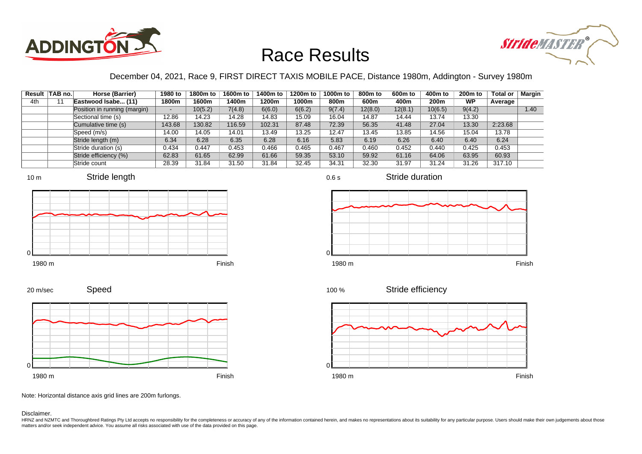



### December 04, 2021, Race 9, FIRST DIRECT TAXIS MOBILE PACE, Distance 1980m, Addington - Survey 1980m

|     | Result TAB no. | Horse (Barrier)              | 1980 to | 1800m to | 1600m to | 1400m to | 1200m to | 1000m to | 800m to | 600 <sub>m</sub> to | 400m to | 200 <sub>m</sub> to | <b>Total or</b> | Margin |
|-----|----------------|------------------------------|---------|----------|----------|----------|----------|----------|---------|---------------------|---------|---------------------|-----------------|--------|
| 4th |                | Eastwood Isabe (11)          | 1800m   | 1600m    | 1400m    | 1200m    | 1000m    | 800m     | 600m    | 400m                | 200m    | WP                  | Average         |        |
|     |                | Position in running (margin) |         | 10(5.2)  | 7(4.8)   | 6(6.0)   | 6(6.2)   | 9(7.4)   | 12(8.0) | 12(8.1)             | 10(6.5) | 9(4.2)              |                 | 1.40   |
|     |                | Sectional time (s)           | 12.86   | 14.23    | 14.28    | 14.83    | 15.09    | 16.04    | 14.87   | 14.44               | 13.74   | 13.30               |                 |        |
|     |                | Cumulative time (s)          | 143.68  | 130.82   | 116.59   | 102.31   | 87.48    | 72.39    | 56.35   | 41.48               | 27.04   | 13.30               | 2:23.68         |        |
|     |                | Speed (m/s)                  | 14.00   | 14.05    | 14.01    | 13.49    | 13.25    | 12.47    | 13.45   | 13.85               | 14.56   | 15.04               | 13.78           |        |
|     |                | Stride length (m)            | 6.34    | 6.28     | 6.35     | 6.28     | 6.16     | 5.83     | 6.19    | 6.26                | 6.40    | 6.40                | 6.24            |        |
|     |                | Stride duration (s)          | 0.434   | 0.447    | 0.453    | 0.466    | 0.465    | 0.467    | 0.460   | 0.452               | 0.440   | 0.425               | 0.453           |        |
|     |                | Stride efficiency (%)        | 62.83   | 61.65    | 62.99    | 61.66    | 59.35    | 53.10    | 59.92   | 61.16               | 64.06   | 63.95               | 60.93           |        |
|     |                | Stride count                 | 28.39   | 31.84    | 31.50    | 31.84    | 32.45    | 34.31    | 32.30   | 31.97               | 31.24   | 31.26               | 317.10          |        |









0.6 s







Stride efficiency



Speed 20 m/sec



Note: Horizontal distance axis grid lines are 200m furlongs.

Disclaimer.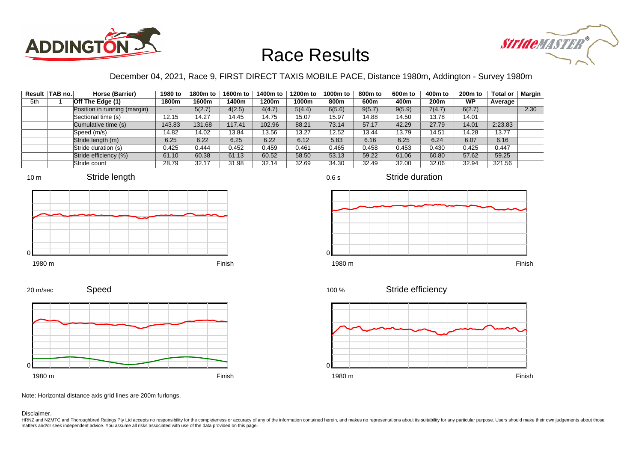



### December 04, 2021, Race 9, FIRST DIRECT TAXIS MOBILE PACE, Distance 1980m, Addington - Survey 1980m

|     | Result   TAB no. | Horse (Barrier)              | 1980 to | 1800m to | 1600m to | 1400m to | 1200m to | 1000m to | 800m to | 600 <sub>m</sub> to | 400m to          | $200m$ to | <b>Total or</b> | Margin |
|-----|------------------|------------------------------|---------|----------|----------|----------|----------|----------|---------|---------------------|------------------|-----------|-----------------|--------|
| 5th |                  | Off The Edge (1)             | 1800m   | 1600m    | 1400m    | 1200m    | 1000m    | 800m     | 600m    | 400m                | 200 <sub>m</sub> | <b>WP</b> | Average         |        |
|     |                  | Position in running (margin) |         | 5(2.7)   | 4(2.5)   | 4(4.7)   | 5(4.4)   | 6(5.6)   | 9(5.7)  | 9(5.9)              | 7(4.7)           | 6(2.7)    |                 | 2.30   |
|     |                  | Sectional time (s)           | 12.15   | 14.27    | 14.45    | 14.75    | 15.07    | 15.97    | 14.88   | 14.50               | 13.78            | 14.01     |                 |        |
|     |                  | Cumulative time (s)          | 143.83  | 131.68   | 117.41   | 102.96   | 88.21    | 73.14    | 57.17   | 42.29               | 27.79            | 14.01     | 2:23.83         |        |
|     |                  | Speed (m/s)                  | 14.82   | 14.02    | 13.84    | 13.56    | 13.27    | 12.52    | 13.44   | 13.79               | 14.51            | 14.28     | 13.77           |        |
|     |                  | Stride length (m)            | 6.25    | 6.22     | 6.25     | 6.22     | 6.12     | 5.83     | 6.16    | 6.25                | 6.24             | 6.07      | 6.16            |        |
|     |                  | Stride duration (s)          | 0.425   | 0.444    | 0.452    | 0.459    | 0.461    | 0.465    | 0.458   | 0.453               | 0.430            | 0.425     | 0.447           |        |
|     |                  | Stride efficiency (%)        | 61.10   | 60.38    | 61.13    | 60.52    | 58.50    | 53.13    | 59.22   | 61.06               | 60.80            | 57.62     | 59.25           |        |
|     |                  | Stride count                 | 28.79   | 32.17    | 31.98    | 32.14    | 32.69    | 34.30    | 32.49   | 32.00               | 32.06            | 32.94     | 321.56          |        |







Stride duration





Stride efficiency





Note: Horizontal distance axis grid lines are 200m furlongs.

Speed

Disclaimer.

0

20 m/sec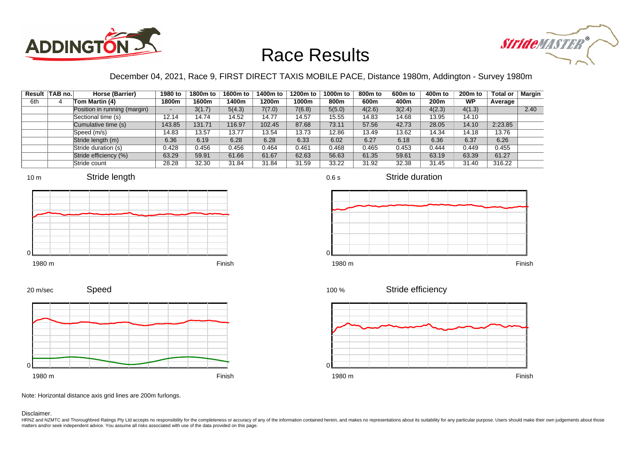



### December 04, 2021, Race 9, FIRST DIRECT TAXIS MOBILE PACE, Distance 1980m, Addington - Survey 1980m

0.6 s

|     | Result   TAB no. | Horse (Barrier)              | 1980 to | 1800m to | 1600m to | 1400m to | 1200m to | 1000m to | 800m to | 600 <sub>m</sub> to | 400m to          | $200m$ to | <b>Total or</b> | Margin |
|-----|------------------|------------------------------|---------|----------|----------|----------|----------|----------|---------|---------------------|------------------|-----------|-----------------|--------|
| 6th | 4                | Tom Martin (4)               | 1800m   | 1600m    | 1400m    | 1200m    | 1000m    | 800m     | 600m    | 400m                | 200 <sub>m</sub> | <b>WP</b> | Average         |        |
|     |                  | Position in running (margin) |         | 3(1.7)   | 5(4.3)   | 7(7.0)   | 7(6.8)   | 5(5.0)   | 4(2.6)  | 3(2.4)              | 4(2.3)           | 4(1.3)    |                 | 2.40   |
|     |                  | Sectional time (s)           | 12.14   | 14.74    | 14.52    | 14.77    | 14.57    | 15.55    | 14.83   | 14.68               | 13.95            | 14.10     |                 |        |
|     |                  | Cumulative time (s)          | 143.85  | 131.71   | 116.97   | 102.45   | 87.68    | 73.11    | 57.56   | 42.73               | 28.05            | 14.10     | 2:23.85         |        |
|     |                  | Speed (m/s)                  | 14.83   | 13.57    | 13.77    | 13.54    | 13.73    | 12.86    | 13.49   | 13.62               | 14.34            | 14.18     | 13.76           |        |
|     |                  | Stride length (m)            | 6.36    | 6.19     | 6.28     | 6.28     | 6.33     | 6.02     | 6.27    | 6.18                | 6.36             | 6.37      | 6.26            |        |
|     |                  | Stride duration (s)          | 0.428   | 0.456    | 0.456    | 0.464    | 0.461    | 0.468    | 0.465   | 0.453               | 0.444            | 0.449     | 0.455           |        |
|     |                  | Stride efficiency (%)        | 63.29   | 59.91    | 61.66    | 61.67    | 62.63    | 56.63    | 61.35   | 59.61               | 63.19            | 63.39     | 61.27           |        |
|     |                  | Stride count                 | 28.28   | 32.30    | 31.84    | 31.84    | 31.59    | 33.22    | 31.92   | 32.38               | 31.45            | 31.40     | 316.22          |        |







Stride duration



Speed 20 m/sec







Note: Horizontal distance axis grid lines are 200m furlongs.

Disclaimer.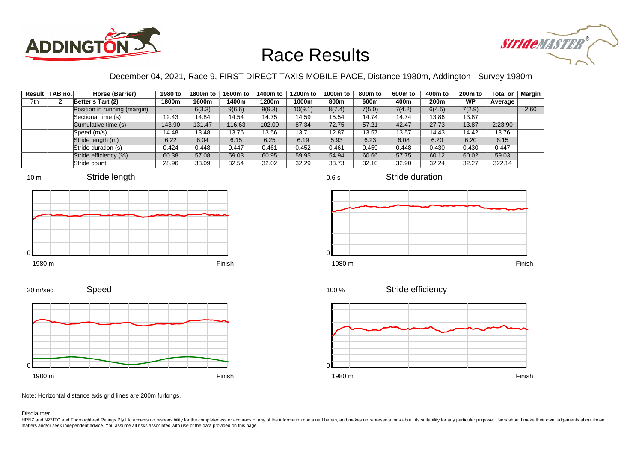



### December 04, 2021, Race 9, FIRST DIRECT TAXIS MOBILE PACE, Distance 1980m, Addington - Survey 1980m

|     | Result TAB no. | Horse (Barrier)              | 1980 to                  | 1800m to | 1600m to | 1400m to | 1200m to | 1000m to | 800m to | 600 <sub>m</sub> to | 400m to | 200 <sub>m</sub> to | <b>Total or</b> | <b>Margin</b> |
|-----|----------------|------------------------------|--------------------------|----------|----------|----------|----------|----------|---------|---------------------|---------|---------------------|-----------------|---------------|
| 7th |                | Better's Tart (2)            | 1800m                    | 1600m    | 1400m    | 1200m    | 1000m    | 800m     | 600m    | 400m                | 200m    | <b>WP</b>           | Average         |               |
|     |                | Position in running (margin) | $\overline{\phantom{0}}$ | 6(3.3)   | 9(6.6)   | 9(9.3)   | 10(9.1)  | 8(7.4)   | 7(5.0)  | 7(4.2)              | 6(4.5)  | 7(2.9)              |                 | 2.60          |
|     |                | Sectional time (s)           | 12.43                    | 14.84    | 14.54    | 14.75    | 14.59    | 15.54    | 14.74   | 14.74               | 13.86   | 13.87               |                 |               |
|     |                | Cumulative time (s)          | 143.90                   | 131.47   | 116.63   | 102.09   | 87.34    | 72.75    | 57.21   | 42.47               | 27.73   | 13.87               | 2:23.90         |               |
|     |                | Speed (m/s)                  | 14.48                    | 13.48    | 13.76    | 13.56    | 13.71    | 12.87    | 13.57   | 13.57               | 14.43   | 14.42               | 13.76           |               |
|     |                | Stride length (m)            | 6.22                     | 6.04     | 6.15     | 6.25     | 6.19     | 5.93     | 6.23    | 6.08                | 6.20    | 6.20                | 6.15            |               |
|     |                | Stride duration (s)          | 0.424                    | 0.448    | 0.447    | 0.461    | 0.452    | 0.461    | 0.459   | 0.448               | 0.430   | 0.430               | 0.447           |               |
|     |                | Stride efficiency (%)        | 60.38                    | 57.08    | 59.03    | 60.95    | 59.95    | 54.94    | 60.66   | 57.75               | 60.12   | 60.02               | 59.03           |               |
|     |                | Stride count                 | 28.96                    | 33.09    | 32.54    | 32.02    | 32.29    | 33.73    | 32.10   | 32.90               | 32.24   | 32.27               | 322.14          |               |











Stride duration









Note: Horizontal distance axis grid lines are 200m furlongs.

#### Disclaimer.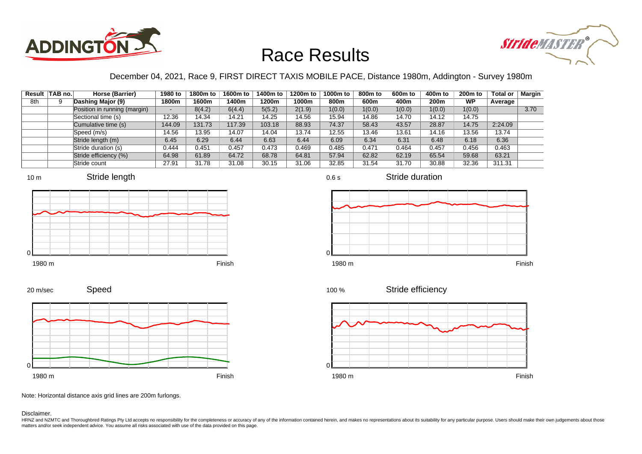



### December 04, 2021, Race 9, FIRST DIRECT TAXIS MOBILE PACE, Distance 1980m, Addington - Survey 1980m

0.6 s

|     | Result TAB no. | Horse (Barrier)              | 1980 to                  | 1800m to | 1600m to | 1400m to | 1200m to | 1000m to | 800m to | 600 <sub>m</sub> to | 400m to | 200 <sub>m</sub> to | <b>Total or</b> | <b>Margin</b> |
|-----|----------------|------------------------------|--------------------------|----------|----------|----------|----------|----------|---------|---------------------|---------|---------------------|-----------------|---------------|
| 8th |                | Dashing Major (9)            | 1800m                    | 1600m    | 1400m    | 1200m    | 1000m    | 800m     | 600m    | 400m                | 200m    | <b>WP</b>           | Average         |               |
|     |                | Position in running (margin) | $\overline{\phantom{0}}$ | 8(4.2)   | 6(4.4)   | 5(5.2)   | 2(1.9)   | 1(0.0)   | 1(0.0)  | 1(0.0)              | 1(0.0)  | 1(0.0)              |                 | 3.70          |
|     |                | Sectional time (s)           | 12.36                    | 14.34    | 14.21    | 14.25    | 14.56    | 15.94    | 14.86   | 14.70               | 14.12   | 14.75               |                 |               |
|     |                | Cumulative time (s)          | 144.09                   | 131.73   | 117.39   | 103.18   | 88.93    | 74.37    | 58.43   | 43.57               | 28.87   | 14.75               | 2:24.09         |               |
|     |                | Speed (m/s)                  | 14.56                    | 13.95    | 14.07    | 14.04    | 13.74    | 12.55    | 13.46   | 13.61               | 14.16   | 13.56               | 13.74           |               |
|     |                | Stride length (m)            | 6.45                     | 6.29     | 6.44     | 6.63     | 6.44     | 6.09     | 6.34    | 6.31                | 6.48    | 6.18                | 6.36            |               |
|     |                | Stride duration (s)          | 0.444                    | 0.451    | 0.457    | 0.473    | 0.469    | 0.485    | 0.471   | 0.464               | 0.457   | 0.456               | 0.463           |               |
|     |                | Stride efficiency (%)        | 64.98                    | 61.89    | 64.72    | 68.78    | 64.81    | 57.94    | 62.82   | 62.19               | 65.54   | 59.68               | 63.21           |               |
|     |                | Stride count                 | 27.91                    | 31.78    | 31.08    | 30.15    | 31.06    | 32.85    | 31.54   | 31.70               | 30.88   | 32.36               | 311.31          |               |













Speed







Note: Horizontal distance axis grid lines are 200m furlongs.

Disclaimer.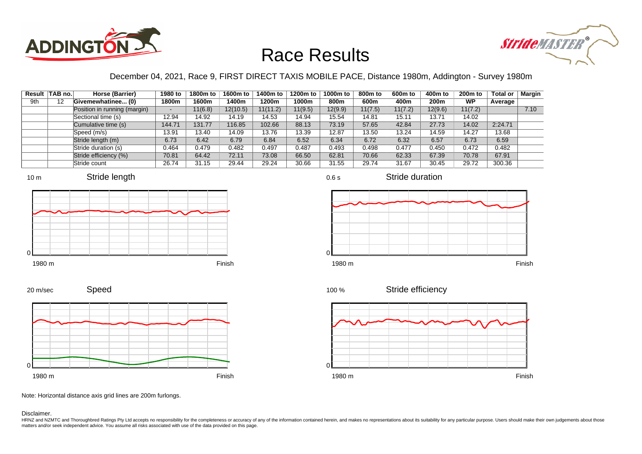



### December 04, 2021, Race 9, FIRST DIRECT TAXIS MOBILE PACE, Distance 1980m, Addington - Survey 1980m

|     | Result   TAB no. | Horse (Barrier)              | 1980 to | 1800m to | 1600m to | 1400m to | 1200m to | 1000m to | 800m to | 600m to | 400m to | 200 <sub>m</sub> to | <b>Total or</b> | <b>Margin</b> |
|-----|------------------|------------------------------|---------|----------|----------|----------|----------|----------|---------|---------|---------|---------------------|-----------------|---------------|
| 9th | 12               | Givemewhatinee (0)           | 1800m   | 1600m    | 1400m    | 1200m    | 1000m    | 800m     | 600m    | 400m    | 200m    | <b>WP</b>           | Average         |               |
|     |                  | Position in running (margin) | -       | 11(6.8)  | 12(10.5) | 11(11.2) | 11(9.5)  | 12(9.9)  | 11(7.5) | 11(7.2) | 12(9.6) | 11(7.2)             |                 | 7.10          |
|     |                  | Sectional time (s)           | 12.94   | 14.92    | 14.19    | 14.53    | 14.94    | 15.54    | 14.81   | 15.11   | 13.71   | 14.02               |                 |               |
|     |                  | Cumulative time (s)          | 144.71  | 131.77   | 116.85   | 102.66   | 88.13    | 73.19    | 57.65   | 42.84   | 27.73   | 14.02               | 2:24.71         |               |
|     |                  | Speed (m/s)                  | 13.91   | 13.40    | 14.09    | 13.76    | 13.39    | 12.87    | 13.50   | 13.24   | 14.59   | 14.27               | 13.68           |               |
|     |                  | Stride length (m)            | 6.73    | 6.42     | 6.79     | 6.84     | 6.52     | 6.34     | 6.72    | 6.32    | 6.57    | 6.73                | 6.59            |               |
|     |                  | Stride duration (s)          | 0.464   | 0.479    | 0.482    | 0.497    | 0.487    | 0.493    | 0.498   | 0.477   | 0.450   | 0.472               | 0.482           |               |
|     |                  | Stride efficiency (%)        | 70.81   | 64.42    | 72.11    | 73.08    | 66.50    | 62.81    | 70.66   | 62.33   | 67.39   | 70.78               | 67.91           |               |
|     |                  | Stride count                 | 26.74   | 31.15    | 29.44    | 29.24    | 30.66    | 31.55    | 29.74   | 31.67   | 30.45   | 29.72               | 300.36          |               |







Stride duration









Note: Horizontal distance axis grid lines are 200m furlongs.

Disclaimer.

0

HRNZ and NZMTC and Thoroughbred Ratings Pty Ltd accepts no responsibility for the completeness or accuracy of any of the information contained herein, and makes no representations about its suitability for any particular p matters and/or seek independent advice. You assume all risks associated with use of the data provided on this page.

0.6 s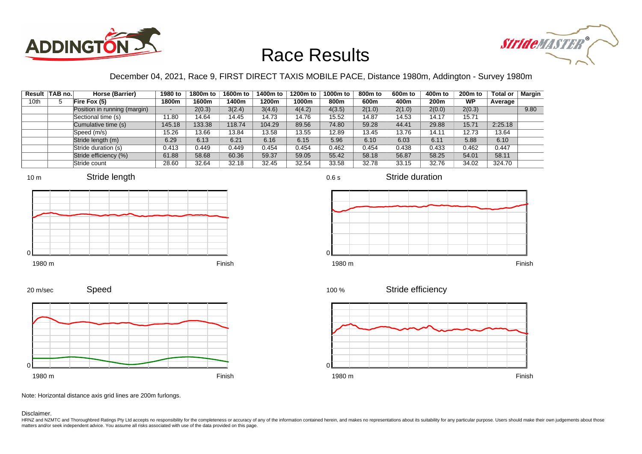



### December 04, 2021, Race 9, FIRST DIRECT TAXIS MOBILE PACE, Distance 1980m, Addington - Survey 1980m

|      | Result TAB no. | Horse (Barrier)              | 1980 to | 1800m to | 1600m to | 1400m to | 1200m to | 1000m to | 800m to | 600 <sub>m</sub> to | 400m to | 200 <sub>m</sub> to | <b>Total or</b> | Margin |
|------|----------------|------------------------------|---------|----------|----------|----------|----------|----------|---------|---------------------|---------|---------------------|-----------------|--------|
| 10th | 5              | Fire Fox (5)                 | 1800m   | 1600m    | 1400m    | 1200m    | 1000m    | 800m     | 600m    | 400m                | 200m    | <b>WP</b>           | Average         |        |
|      |                | Position in running (margin) |         | 2(0.3)   | 3(2.4)   | 3(4.6)   | 4(4.2)   | 4(3.5)   | 2(1.0)  | 2(1.0)              | 2(0.0)  | 2(0.3)              |                 | 9.80   |
|      |                | Sectional time (s)           | 11.80   | 14.64    | 14.45    | 14.73    | 14.76    | 15.52    | 14.87   | 14.53               | 14.17   | 15.71               |                 |        |
|      |                | Cumulative time (s)          | 145.18  | 133.38   | 118.74   | 104.29   | 89.56    | 74.80    | 59.28   | 44.41               | 29.88   | 15.71               | 2:25.18         |        |
|      |                | Speed (m/s)                  | 15.26   | 13.66    | 13.84    | 13.58    | 13.55    | 12.89    | 13.45   | 13.76               | 14.11   | 12.73               | 13.64           |        |
|      |                | Stride length (m)            | 6.29    | 6.13     | 6.21     | 6.16     | 6.15     | 5.96     | 6.10    | 6.03                | 6.11    | 5.88                | 6.10            |        |
|      |                | Stride duration (s)          | 0.413   | 0.449    | 0.449    | 0.454    | 0.454    | 0.462    | 0.454   | 0.438               | 0.433   | 0.462               | 0.447           |        |
|      |                | Stride efficiency (%)        | 61.88   | 58.68    | 60.36    | 59.37    | 59.05    | 55.42    | 58.18   | 56.87               | 58.25   | 54.01               | 58.11           |        |
|      |                | Stride count                 | 28.60   | 32.64    | 32.18    | 32.45    | 32.54    | 33.58    | 32.78   | 33.15               | 32.76   | 34.02               | 324.70          |        |









 $\Omega$ 



Stride efficiency 100 %



Speed 20 m/sec



Note: Horizontal distance axis grid lines are 200m furlongs.

#### Disclaimer.

HRNZ and NZMTC and Thoroughbred Ratings Pty Ltd accepts no responsibility for the completeness or accuracy of any of the information contained herein, and makes no representations about its suitability for any particular p matters and/or seek independent advice. You assume all risks associated with use of the data provided on this page.

0.6 s

Stride duration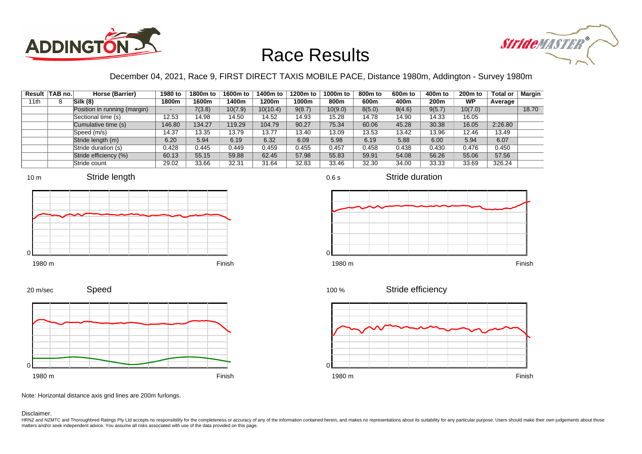



#### December 04, 2021, Race 9, FIRST DIRECT TAXIS MOBILE PACE, Distance 1980m, Addington - Survey 1980m

|      | Result TAB no. | Horse (Barrier)              | 1980 to | 1800m to | 1600m to | 1400m to | 1200m to | 1000m to | 800m to | 600 <sub>m</sub> to | 400m to | 200 <sub>m</sub> to | <b>Total or</b> | Margin |
|------|----------------|------------------------------|---------|----------|----------|----------|----------|----------|---------|---------------------|---------|---------------------|-----------------|--------|
| 11th |                | Silk(8)                      | 1800m   | 1600m    | 1400m    | 1200m    | 1000m    | 800m     | 600m    | 400m                | 200m    | <b>WP</b>           | Average         |        |
|      |                | Position in running (margin) |         | 7(3.8)   | 10(7.9)  | 10(10.4) | 9(8.7)   | 10(9.0)  | 8(5.0)  | 8(4.6)              | 9(5.7)  | 10(7.0)             |                 | 18.70  |
|      |                | Sectional time (s)           | 12.53   | 14.98    | 14.50    | 14.52    | 14.93    | 15.28    | 14.78   | 14.90               | 14.33   | 16.05               |                 |        |
|      |                | Cumulative time (s)          | 146.80  | 134.27   | 119.29   | 104.79   | 90.27    | 75.34    | 60.06   | 45.28               | 30.38   | 16.05               | 2:26.80         |        |
|      |                | Speed (m/s)                  | 14.37   | 13.35    | 13.79    | 13.77    | 13.40    | 13.09    | 13.53   | 13.42               | 13.96   | 12.46               | 13.49           |        |
|      |                | Stride length (m)            | 6.20    | 5.94     | 6.19     | 6.32     | 6.09     | 5.98     | 6.19    | 5.88                | 6.00    | 5.94                | 6.07            |        |
|      |                | Stride duration (s)          | 0.428   | 0.445    | 0.449    | 0.459    | 0.455    | 0.457    | 0.458   | 0.438               | 0.430   | 0.476               | 0.450           |        |
|      |                | Stride efficiency (%)        | 60.13   | 55.15    | 59.88    | 62.45    | 57.98    | 55.83    | 59.91   | 54.08               | 56.26   | 55.06               | 57.56           |        |
|      |                | Stride count                 | 29.02   | 33.66    | 32.31    | 31.64    | 32.83    | 33.46    | 32.30   | 34.00               | 33.33   | 33.69               | 326.24          |        |







Stride duration

Speed 20 m/sec



Stride efficiency 100 %



Note: Horizontal distance axis grid lines are 200m furlongs.

Disclaimer.